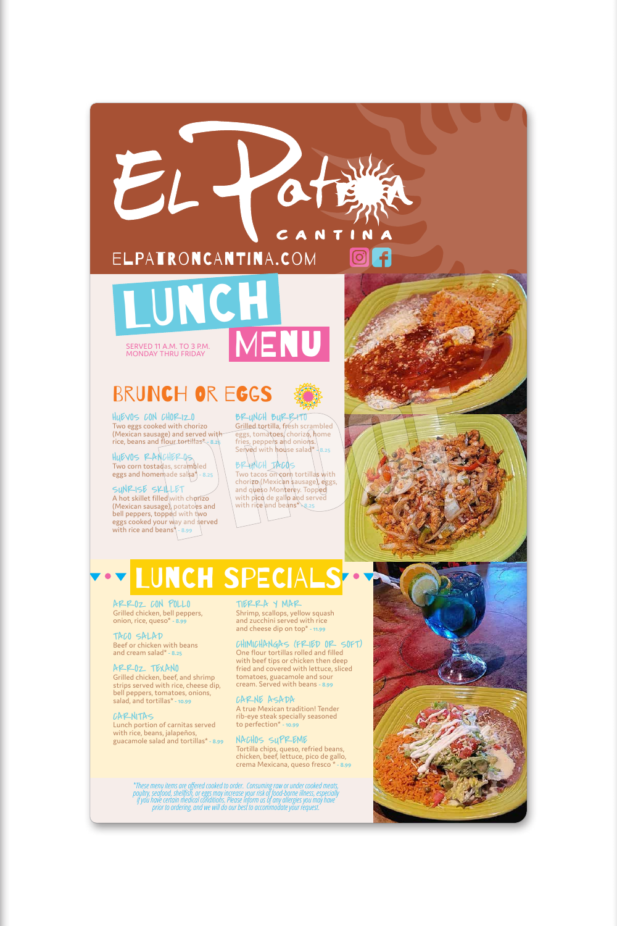### CANTIN

 $\bigcirc$ 

HUEVOS CON CHORIZO Two eggs cooked with chorizo (Mexican sausage) and served with rice, beans and flour tortillas\* **- 8.25**

HUEVOS RANCHEROS Two corn tostadas, scrambled eggs and homemade salsa\* **- 8.25** BRUNCH BURRITO Grilled tortilla, fresh scrambled eggs, tomatoes/chorizo, home fries, peppers and onions. Served with house salad<sup>\*</sup> \8.25

BRUNCH TACOS Two tacos on corn tortillas with chorizo (Mexican sausage), eggs, and queso Monterey. Topped with pico de gallo and served with rice and beans<sup>\*</sup> 8.25

SUNRISE SKILLET A hot skillet filled with chorizo (Mexican sausage), potatoes and bell peppers, topped with two eggs cooked your way and served with rice and beans\* **- 8.99**

### elpatroncantina.com

# LUNCH SPECIALS

ARROZ CON POLLO Grilled chicken, bell peppers, onion, rice, queso\* **- 8.99**

TACO SALAD

## **MENU** LUNCH SERVED 11 A.M. TO 3 P.M.

Beef or chicken with beans and cream salad\* **- 8.25**

#### ARROZ TEXANO

Grilled chicken, beef, and shrimp strips served with rice, cheese dip, bell peppers, tomatoes, onions, salad, and tortillas\* **- 10.99**

#### CARNITAS

Lunch portion of carnitas served with rice, beans, jalapeños, guacamole salad and tortillas\* **- 8.99**

TIERRA Y MAR Shrimp, scallops, yellow squash and zucchini served with rice and cheese dip on top\* **- 11.99**



#### CHIMICHANGAS (FRIED OR SOFT)

One flour tortillas rolled and filled with beef tips or chicken then deep fried and covered with lettuce, sliced tomatoes, guacamole and sour cream. Served with beans **- 8.99**

#### CARNE ASADA

A true Mexican tradition! Tender rib-eye steak specially seasoned to perfection\* **- 10.99**

#### NACHOS SUPREME

Tortilla chips, queso, refried beans, chicken, beef, lettuce, pico de gallo, crema Mexicana, queso fresco \* **- 8.99**

MONDAY THRU FRIDAY

EL

## BRUNCH OR EGGS

*\*These menu items are offered cooked to order. Consuming raw or under cooked meats, poultry, seafood, shellfish, or eggs may increase your risk of food-borne illness, especially if you have certain medical conditions. Please inform us of any allergies you may have prior to ordering, and we will do our best to accommodate your request.*